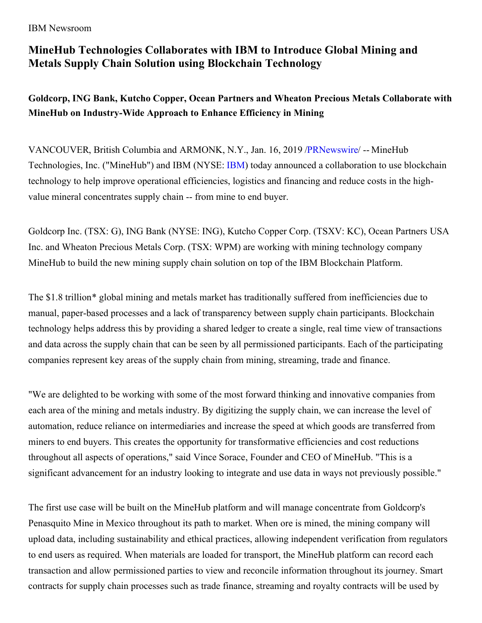### IBM Newsroom

# **MineHub Technologies Collaborates with IBM to Introduce Global Mining and Metals Supply Chain Solution using Blockchain Technology**

**Goldcorp, ING Bank, Kutcho Copper, Ocean Partners and Wheaton Precious Metals Collaborate with MineHub on Industry-Wide Approach to Enhance Efficiency in Mining**

VANCOUVER, British Columbia and ARMONK, N.Y., Jan. 16, 2019 [/PRNewswire/](http://www.prnewswire.com/) -- MineHub Technologies, Inc. ("MineHub") and IBM (NYSE: [IBM](https://c212.net/c/link/?t=0&l=en&o=2347986-1&h=4010016608&u=http%3A%2F%2Fwww.ibm.com%2Finvestor&a=IBM)) today announced a collaboration to use blockchain technology to help improve operational efficiencies, logistics and financing and reduce costs in the highvalue mineral concentrates supply chain -- from mine to end buyer.

Goldcorp Inc. (TSX: G), ING Bank (NYSE: ING), Kutcho Copper Corp. (TSXV: KC), Ocean Partners USA Inc. and Wheaton Precious Metals Corp. (TSX: WPM) are working with mining technology company MineHub to build the new mining supply chain solution on top of the IBM Blockchain Platform.

The \$1.8 trillion\* global mining and metals market has traditionally suffered from inefficiencies due to manual, paper-based processes and a lack of transparency between supply chain participants. Blockchain technology helps address this by providing a shared ledger to create a single, real time view of transactions and data across the supply chain that can be seen by all permissioned participants. Each of the participating companies represent key areas of the supply chain from mining, streaming, trade and finance.

"We are delighted to be working with some of the most forward thinking and innovative companies from each area of the mining and metals industry. By digitizing the supply chain, we can increase the level of automation, reduce reliance on intermediaries and increase the speed at which goods are transferred from miners to end buyers. This creates the opportunity for transformative efficiencies and cost reductions throughout all aspects of operations," said Vince Sorace, Founder and CEO of MineHub. "This is a significant advancement for an industry looking to integrate and use data in ways not previously possible."

The first use case will be built on the MineHub platform and will manage concentrate from Goldcorp's Penasquito Mine in Mexico throughout its path to market. When ore is mined, the mining company will upload data, including sustainability and ethical practices, allowing independent verification from regulators to end users as required. When materials are loaded for transport, the MineHub platform can record each transaction and allow permissioned parties to view and reconcile information throughout its journey. Smart contracts for supply chain processes such as trade finance, streaming and royalty contracts will be used by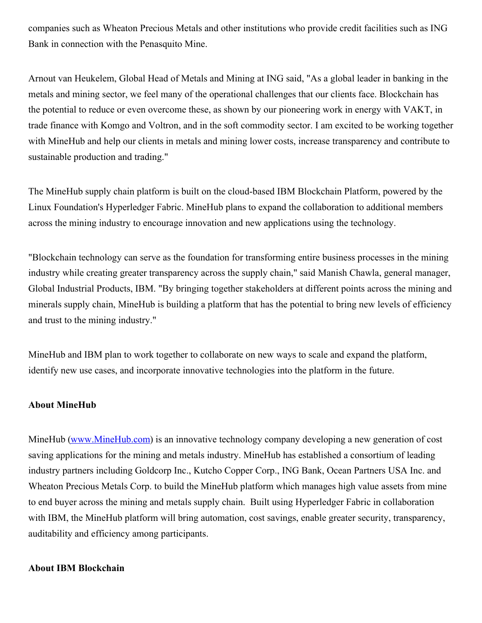companies such as Wheaton Precious Metals and other institutions who provide credit facilities such as ING Bank in connection with the Penasquito Mine.

Arnout van Heukelem, Global Head of Metals and Mining at ING said, "As a global leader in banking in the metals and mining sector, we feel many of the operational challenges that our clients face. Blockchain has the potential to reduce or even overcome these, as shown by our pioneering work in energy with VAKT, in trade finance with Komgo and Voltron, and in the soft commodity sector. I am excited to be working together with MineHub and help our clients in metals and mining lower costs, increase transparency and contribute to sustainable production and trading."

The MineHub supply chain platform is built on the cloud-based IBM Blockchain Platform, powered by the Linux Foundation's Hyperledger Fabric. MineHub plans to expand the collaboration to additional members across the mining industry to encourage innovation and new applications using the technology.

"Blockchain technology can serve as the foundation for transforming entire business processes in the mining industry while creating greater transparency across the supply chain," said Manish Chawla, general manager, Global Industrial Products, IBM. "By bringing together stakeholders at different points across the mining and minerals supply chain, MineHub is building a platform that has the potential to bring new levels of efficiency and trust to the mining industry."

MineHub and IBM plan to work together to collaborate on new ways to scale and expand the platform, identify new use cases, and incorporate innovative technologies into the platform in the future.

### **About MineHub**

MineHub [\(www.MineHub.com](https://c212.net/c/link/?t=0&l=en&o=2347986-1&h=3481745109&u=http%3A%2F%2Fwww.minehub.com%2F&a=www.MineHub.com)) is an innovative technology company developing a new generation of cost saving applications for the mining and metals industry. MineHub has established a consortium of leading industry partners including Goldcorp Inc., Kutcho Copper Corp., ING Bank, Ocean Partners USA Inc. and Wheaton Precious Metals Corp. to build the MineHub platform which manages high value assets from mine to end buyer across the mining and metals supply chain. Built using Hyperledger Fabric in collaboration with IBM, the MineHub platform will bring automation, cost savings, enable greater security, transparency, auditability and efficiency among participants.

### **About IBM Blockchain**